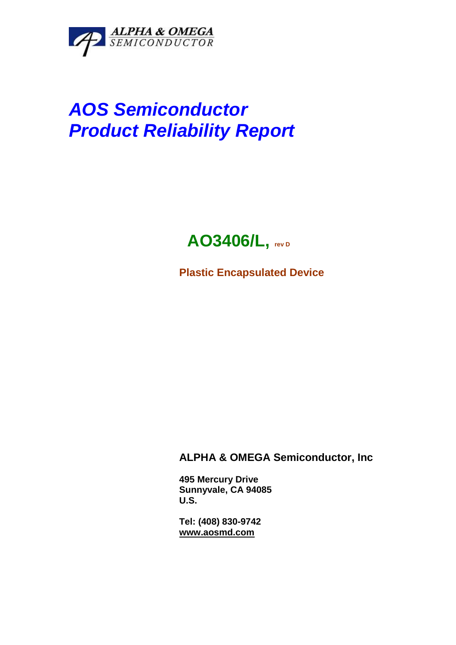

# **AOS Semiconductor Product Reliability Report**

## **AO3406/L, rev D**

**Plastic Encapsulated Device** 

### **ALPHA & OMEGA Semiconductor, Inc**

**495 Mercury Drive Sunnyvale, CA 94085 U.S.** 

**Tel: (408) 830-9742 www.aosmd.com**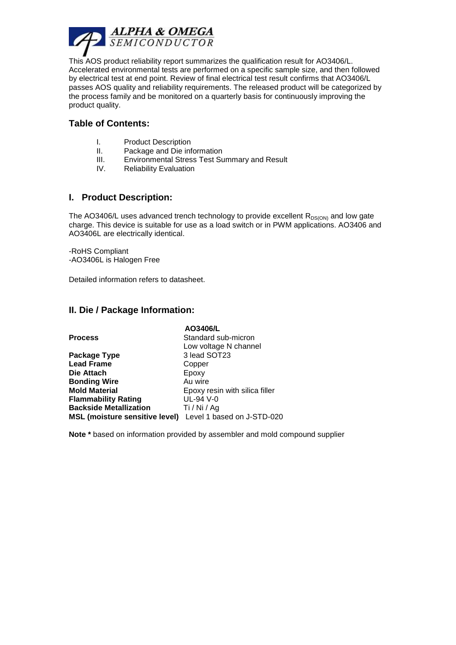

This AOS product reliability report summarizes the qualification result for AO3406/L. Accelerated environmental tests are performed on a specific sample size, and then followed by electrical test at end point. Review of final electrical test result confirms that AO3406/L passes AOS quality and reliability requirements. The released product will be categorized by the process family and be monitored on a quarterly basis for continuously improving the product quality.

#### **Table of Contents:**

- I. Product Description
- II. Package and Die information
- III. Environmental Stress Test Summary and Result
- IV. Reliability Evaluation

#### **I. Product Description:**

The AO3406/L uses advanced trench technology to provide excellent  $R_{DS(ON)}$  and low gate charge. This device is suitable for use as a load switch or in PWM applications. AO3406 and AO3406L are electrically identical.

-RoHS Compliant -AO3406L is Halogen Free

Detailed information refers to datasheet.

#### **II. Die / Package Information:**

|                                                           | AO3406/L                       |
|-----------------------------------------------------------|--------------------------------|
| <b>Process</b>                                            | Standard sub-micron            |
|                                                           | Low voltage N channel          |
| Package Type                                              | 3 lead SOT23                   |
| <b>Lead Frame</b>                                         | Copper                         |
| Die Attach                                                | Epoxy                          |
| <b>Bonding Wire</b>                                       | Au wire                        |
| <b>Mold Material</b>                                      | Epoxy resin with silica filler |
| <b>Flammability Rating</b>                                | UL-94 V-0                      |
| <b>Backside Metallization</b>                             | Ti / Ni / Ag                   |
| MSL (moisture sensitive level) Level 1 based on J-STD-020 |                                |

**Note \*** based on information provided by assembler and mold compound supplier